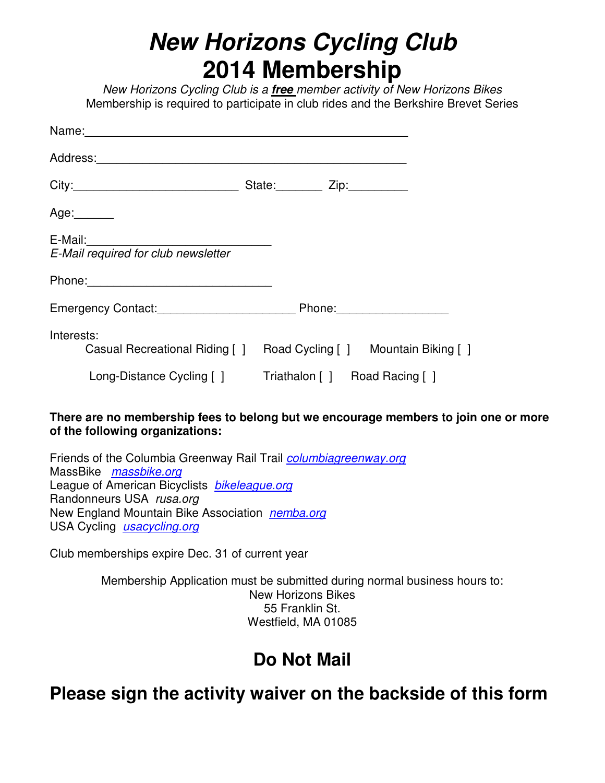## **New Horizons Cycling Club 2014 Membership**

New Horizons Cycling Club is a **free** member activity of New Horizons Bikes Membership is required to participate in club rides and the Berkshire Brevet Series

|                                       | State: Zip:                                                      |
|---------------------------------------|------------------------------------------------------------------|
| Age: $\frac{1}{2}$                    |                                                                  |
| E-Mail required for club newsletter   |                                                                  |
|                                       |                                                                  |
| Emergency Contact: Emergency Contact: |                                                                  |
| Interests:                            | Casual Recreational Riding [] Road Cycling [] Mountain Biking [] |
| Long-Distance Cycling []              | Triathalon [ ] Road Racing [ ]                                   |

## **There are no membership fees to belong but we encourage members to join one or more of the following organizations:**

Friends of the Columbia Greenway Rail Trail *columbiagreenway.org* MassBike massbike.org League of American Bicyclists **bikeleague.org** Randonneurs USA rusa.org New England Mountain Bike Association nemba.org USA Cycling *usacycling.org* 

Club memberships expire Dec. 31 of current year

Membership Application must be submitted during normal business hours to: New Horizons Bikes 55 Franklin St. Westfield, MA 01085

## **Do Not Mail**

**Please sign the activity waiver on the backside of this form**